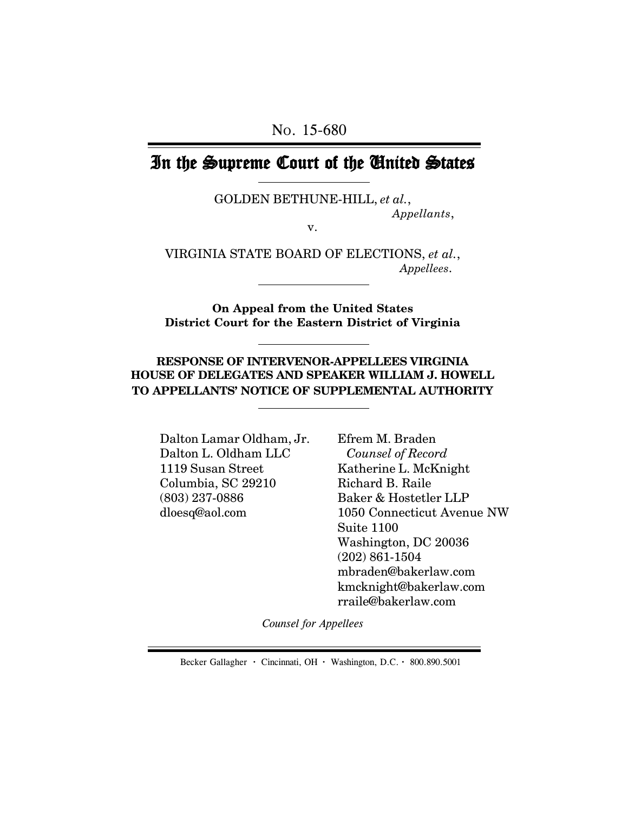## In the Supreme Court of the United States

GOLDEN BETHUNE-HILL, *et al.*,

*Appellants*,

v.

VIRGINIA STATE BOARD OF ELECTIONS, *et al.*, *Appellees*.

**On Appeal from the United States District Court for the Eastern District of Virginia**

**RESPONSE OF INTERVENOR-APPELLEES VIRGINIA HOUSE OF DELEGATES AND SPEAKER WILLIAM J. HOWELL TO APPELLANTS' NOTICE OF SUPPLEMENTAL AUTHORITY**

Dalton Lamar Oldham, Jr. Dalton L. Oldham LLC 1119 Susan Street Columbia, SC 29210 (803) 237-0886 dloesq@aol.com

Efrem M. Braden *Counsel of Record* Katherine L. McKnight Richard B. Raile Baker & Hostetler LLP 1050 Connecticut Avenue NW Suite 1100 Washington, DC 20036 (202) 861-1504 mbraden@bakerlaw.com kmcknight@bakerlaw.com rraile@bakerlaw.com

*Counsel for Appellees*

Becker Gallagher **·** Cincinnati, OH **·** Washington, D.C. **·** 800.890.5001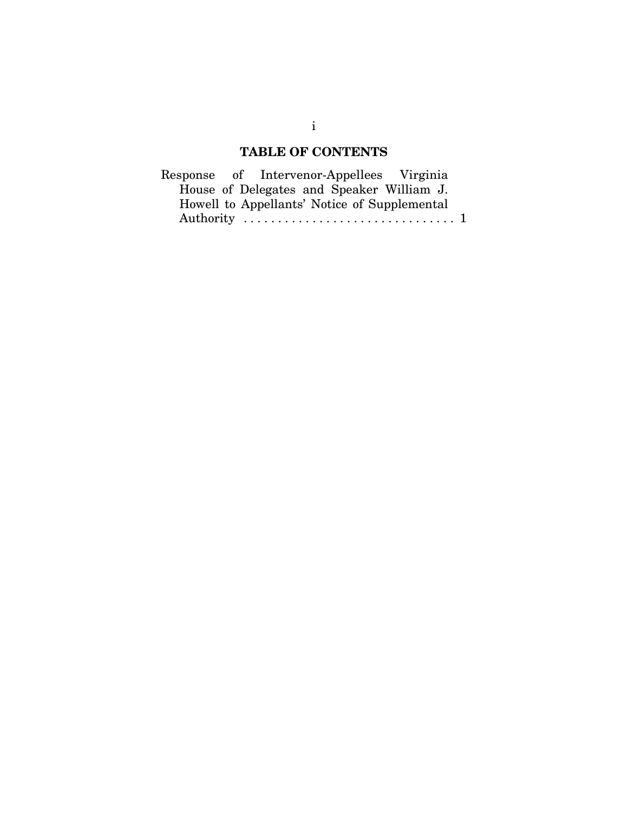## **TABLE OF CONTENTS**

|  |  | Response of Intervenor-Appellees Virginia    |  |
|--|--|----------------------------------------------|--|
|  |  | House of Delegates and Speaker William J.    |  |
|  |  | Howell to Appellants' Notice of Supplemental |  |
|  |  |                                              |  |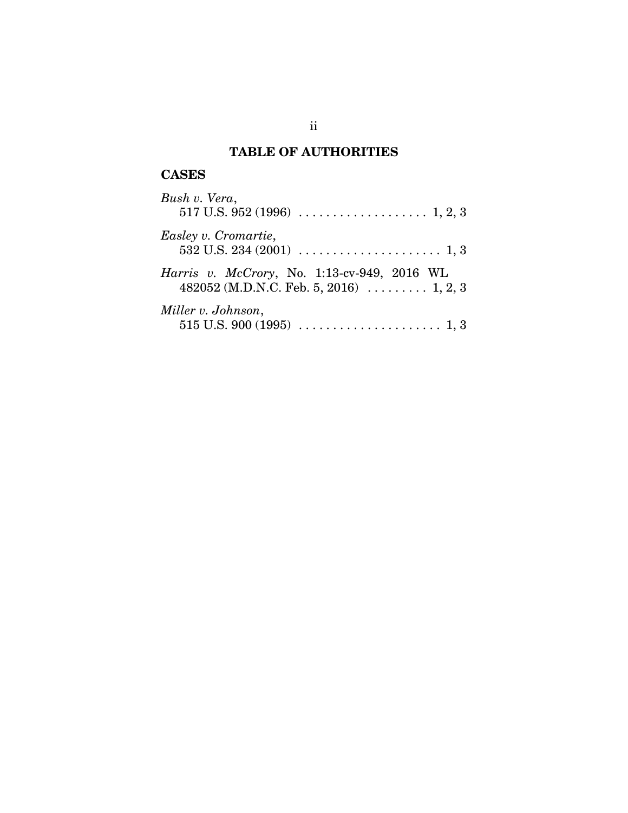## **TABLE OF AUTHORITIES**

## **CASES**

| Bush v. Vera,                                                                                  |
|------------------------------------------------------------------------------------------------|
| Easley v. Cromartie,                                                                           |
| Harris v. McCrory, No. 1:13-cv-949, 2016 WL<br>482052 (M.D.N.C. Feb. 5, 2016) $\ldots$ 1, 2, 3 |
| Miller v. Johnson,                                                                             |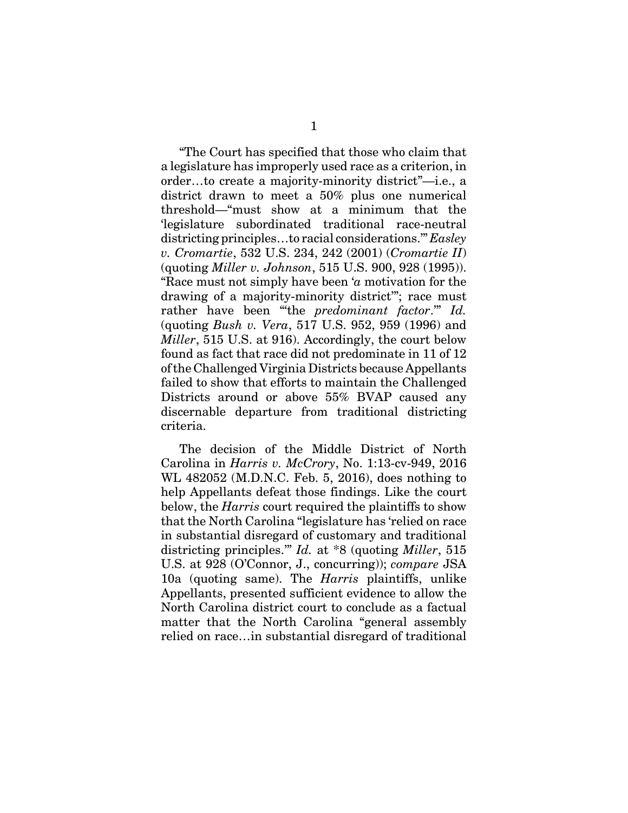"The Court has specified that those who claim that a legislature has improperly used race as a criterion, in order…to create a majority-minority district"—i.e., a district drawn to meet a 50% plus one numerical threshold—"must show at a minimum that the 'legislature subordinated traditional race-neutral districting principles…to racial considerations.'" *Easley v. Cromartie*, 532 U.S. 234, 242 (2001) (*Cromartie II*) (quoting *Miller v. Johnson*, 515 U.S. 900, 928 (1995)). "Race must not simply have been '*a* motivation for the drawing of a majority-minority district'"; race must rather have been "'the *predominant factor*.'" *Id.* (quoting *Bush v. Vera*, 517 U.S. 952, 959 (1996) and *Miller*, 515 U.S. at 916). Accordingly, the court below found as fact that race did not predominate in 11 of 12 of the Challenged Virginia Districts because Appellants failed to show that efforts to maintain the Challenged Districts around or above 55% BVAP caused any discernable departure from traditional districting criteria.

The decision of the Middle District of North Carolina in *Harris v. McCrory*, No. 1:13-cv-949, 2016 WL 482052 (M.D.N.C. Feb. 5, 2016), does nothing to help Appellants defeat those findings. Like the court below, the *Harris* court required the plaintiffs to show that the North Carolina "legislature has 'relied on race in substantial disregard of customary and traditional districting principles.'" *Id.* at \*8 (quoting *Miller*, 515 U.S. at 928 (O'Connor, J., concurring)); *compare* JSA 10a (quoting same). The *Harris* plaintiffs, unlike Appellants, presented sufficient evidence to allow the North Carolina district court to conclude as a factual matter that the North Carolina "general assembly relied on race…in substantial disregard of traditional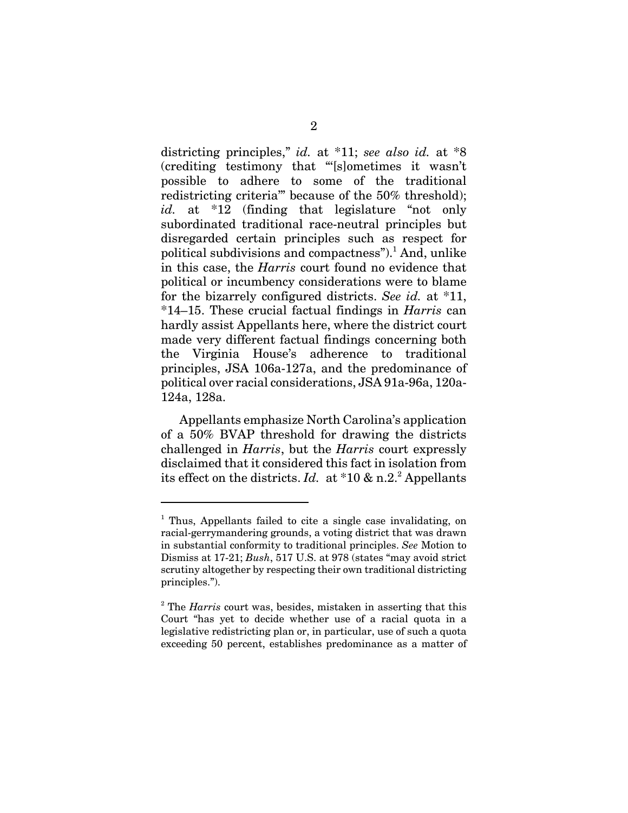districting principles," *id.* at \*11; *see also id.* at \*8 (crediting testimony that "'[s]ometimes it wasn't possible to adhere to some of the traditional redistricting criteria'" because of the 50% threshold); *id.* at \*12 (finding that legislature "not only subordinated traditional race-neutral principles but disregarded certain principles such as respect for political subdivisions and compactness").<sup>1</sup> And, unlike in this case, the *Harris* court found no evidence that political or incumbency considerations were to blame for the bizarrely configured districts. *See id.* at \*11, \*14–15. These crucial factual findings in *Harris* can hardly assist Appellants here, where the district court made very different factual findings concerning both the Virginia House's adherence to traditional principles, JSA 106a-127a, and the predominance of political over racial considerations, JSA 91a-96a, 120a-124a, 128a.

Appellants emphasize North Carolina's application of a 50% BVAP threshold for drawing the districts challenged in *Harris*, but the *Harris* court expressly disclaimed that it considered this fact in isolation from its effect on the districts. *Id.* at  $*10 \& n.2$ .<sup>2</sup> Appellants

<sup>&</sup>lt;sup>1</sup> Thus, Appellants failed to cite a single case invalidating, on racial-gerrymandering grounds, a voting district that was drawn in substantial conformity to traditional principles. *See* Motion to Dismiss at 17-21; *Bush*, 517 U.S. at 978 (states "may avoid strict scrutiny altogether by respecting their own traditional districting principles.").

<sup>&</sup>lt;sup>2</sup> The *Harris* court was, besides, mistaken in asserting that this Court "has yet to decide whether use of a racial quota in a legislative redistricting plan or, in particular, use of such a quota exceeding 50 percent, establishes predominance as a matter of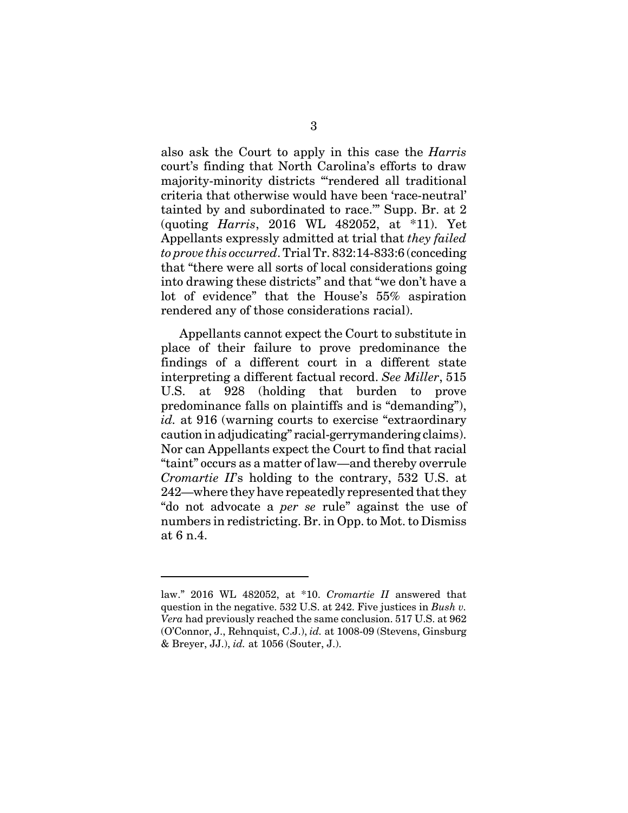also ask the Court to apply in this case the *Harris* court's finding that North Carolina's efforts to draw majority-minority districts "'rendered all traditional criteria that otherwise would have been 'race-neutral' tainted by and subordinated to race.'" Supp. Br. at 2 (quoting *Harris*, 2016 WL 482052, at \*11). Yet Appellants expressly admitted at trial that *they failed to prove this occurred*. Trial Tr. 832:14-833:6 (conceding that "there were all sorts of local considerations going into drawing these districts" and that "we don't have a lot of evidence" that the House's 55% aspiration rendered any of those considerations racial).

Appellants cannot expect the Court to substitute in place of their failure to prove predominance the findings of a different court in a different state interpreting a different factual record. *See Miller*, 515 U.S. at 928 (holding that burden to prove predominance falls on plaintiffs and is "demanding"), *id.* at 916 (warning courts to exercise "extraordinary caution in adjudicating" racial-gerrymandering claims). Nor can Appellants expect the Court to find that racial "taint" occurs as a matter of law—and thereby overrule *Cromartie II*'s holding to the contrary, 532 U.S. at 242—where they have repeatedly represented that they "do not advocate a *per se* rule" against the use of numbers in redistricting. Br. in Opp. to Mot. to Dismiss at 6 n.4.

law." 2016 WL 482052, at \*10. *Cromartie II* answered that question in the negative. 532 U.S. at 242. Five justices in *Bush v. Vera* had previously reached the same conclusion. 517 U.S. at 962 (O'Connor, J., Rehnquist, C.J.), *id.* at 1008-09 (Stevens, Ginsburg & Breyer, JJ.), *id.* at 1056 (Souter, J.).